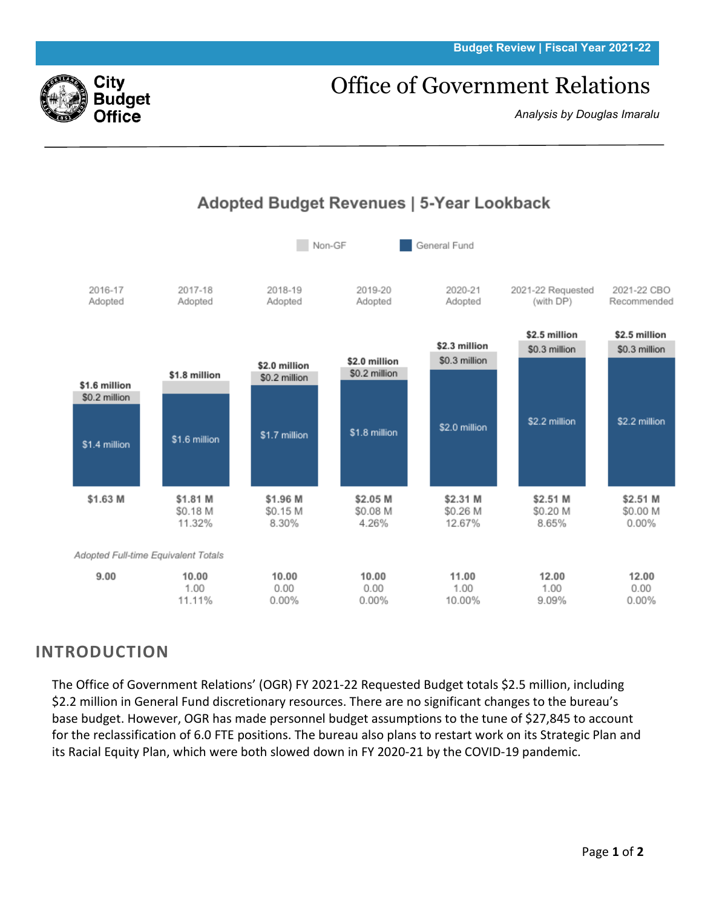#### **Budget Review | Fiscal Year 2021-22**

# Office of Government Relations

*Analysis by Douglas Imaralu*



Adopted Budget Revenues | 5-Year Lookback

## **INTRODUCTION**

The Office of Government Relations' (OGR) FY 2021-22 Requested Budget totals \$2.5 million, including \$2.2 million in General Fund discretionary resources. There are no significant changes to the bureau's base budget. However, OGR has made personnel budget assumptions to the tune of \$27,845 to account for the reclassification of 6.0 FTE positions. The bureau also plans to restart work on its Strategic Plan and its Racial Equity Plan, which were both slowed down in FY 2020-21 by the COVID-19 pandemic.

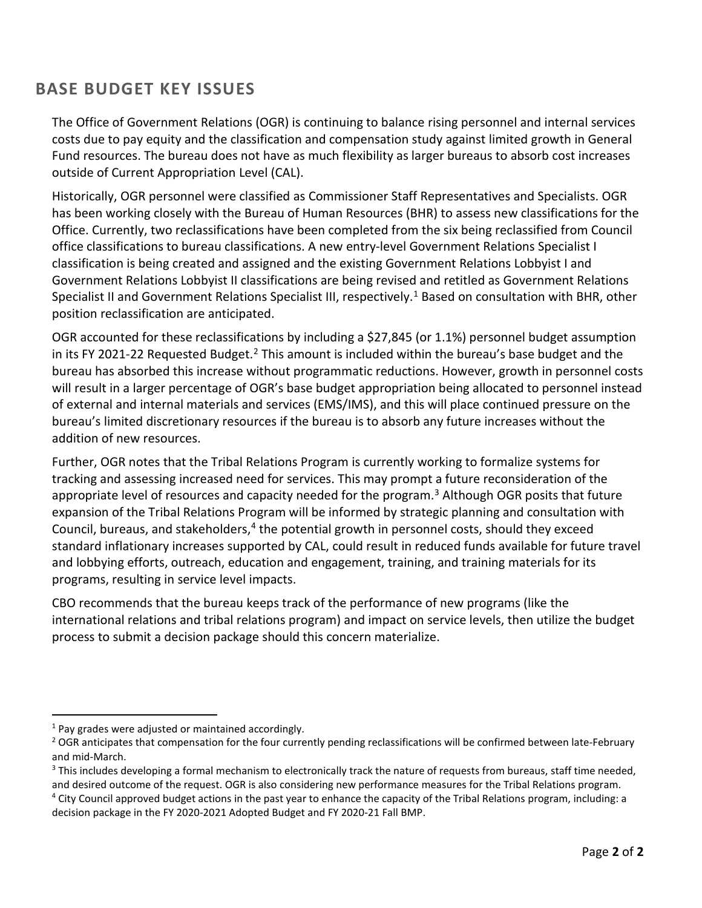### **BASE BUDGET KEY ISSUES**

The Office of Government Relations (OGR) is continuing to balance rising personnel and internal services costs due to pay equity and the classification and compensation study against limited growth in General Fund resources. The bureau does not have as much flexibility as larger bureaus to absorb cost increases outside of Current Appropriation Level (CAL).

Historically, OGR personnel were classified as Commissioner Staff Representatives and Specialists. OGR has been working closely with the Bureau of Human Resources (BHR) to assess new classifications for the Office. Currently, two reclassifications have been completed from the six being reclassified from Council office classifications to bureau classifications. A new entry-level Government Relations Specialist I classification is being created and assigned and the existing Government Relations Lobbyist I and Government Relations Lobbyist II classifications are being revised and retitled as Government Relations Specialist II and Government Relations Specialist III, respectively.<sup>[1](#page-1-0)</sup> Based on consultation with BHR, other position reclassification are anticipated.

OGR accounted for these reclassifications by including a \$27,845 (or 1.1%) personnel budget assumption in its FY [2](#page-1-1)021-22 Requested Budget.<sup>2</sup> This amount is included within the bureau's base budget and the bureau has absorbed this increase without programmatic reductions. However, growth in personnel costs will result in a larger percentage of OGR's base budget appropriation being allocated to personnel instead of external and internal materials and services (EMS/IMS), and this will place continued pressure on the bureau's limited discretionary resources if the bureau is to absorb any future increases without the addition of new resources.

Further, OGR notes that the Tribal Relations Program is currently working to formalize systems for tracking and assessing increased need for services. This may prompt a future reconsideration of the appropriate level of resources and capacity needed for the program.<sup>[3](#page-1-2)</sup> Although OGR posits that future expansion of the Tribal Relations Program will be informed by strategic planning and consultation with Council, bureaus, and stakeholders,<sup>[4](#page-1-3)</sup> the potential growth in personnel costs, should they exceed standard inflationary increases supported by CAL, could result in reduced funds available for future travel and lobbying efforts, outreach, education and engagement, training, and training materials for its programs, resulting in service level impacts.

CBO recommends that the bureau keeps track of the performance of new programs (like the international relations and tribal relations program) and impact on service levels, then utilize the budget process to submit a decision package should this concern materialize.

<span id="page-1-0"></span> $1$  Pay grades were adjusted or maintained accordingly.

<span id="page-1-1"></span><sup>&</sup>lt;sup>2</sup> OGR anticipates that compensation for the four currently pending reclassifications will be confirmed between late-February and mid-March.<br><sup>3</sup> This includes developing a formal mechanism to electronically track the nature of requests from bureaus, staff time needed,

<span id="page-1-2"></span>and desired outcome of the request. OGR is also considering new performance measures for the Tribal Relations program.

<span id="page-1-3"></span> $4$  City Council approved budget actions in the past year to enhance the capacity of the Tribal Relations program, including: a decision package in the FY 2020-2021 Adopted Budget and FY 2020-21 Fall BMP.